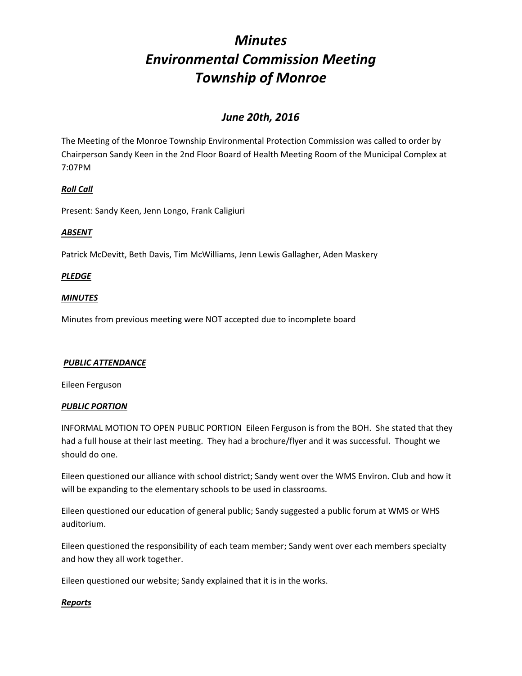# *June 20th, 2016*

The Meeting of the Monroe Township Environmental Protection Commission was called to order by Chairperson Sandy Keen in the 2nd Floor Board of Health Meeting Room of the Municipal Complex at 7:07PM

## *Roll Call*

Present: Sandy Keen, Jenn Longo, Frank Caligiuri

## *ABSENT*

Patrick McDevitt, Beth Davis, Tim McWilliams, Jenn Lewis Gallagher, Aden Maskery

## *PLEDGE*

### *MINUTES*

Minutes from previous meeting were NOT accepted due to incomplete board

#### *PUBLIC ATTENDANCE*

Eileen Ferguson

#### *PUBLIC PORTION*

INFORMAL MOTION TO OPEN PUBLIC PORTION Eileen Ferguson is from the BOH. She stated that they had a full house at their last meeting. They had a brochure/flyer and it was successful. Thought we should do one.

Eileen questioned our alliance with school district; Sandy went over the WMS Environ. Club and how it will be expanding to the elementary schools to be used in classrooms.

Eileen questioned our education of general public; Sandy suggested a public forum at WMS or WHS auditorium.

Eileen questioned the responsibility of each team member; Sandy went over each members specialty and how they all work together.

Eileen questioned our website; Sandy explained that it is in the works.

#### *Reports*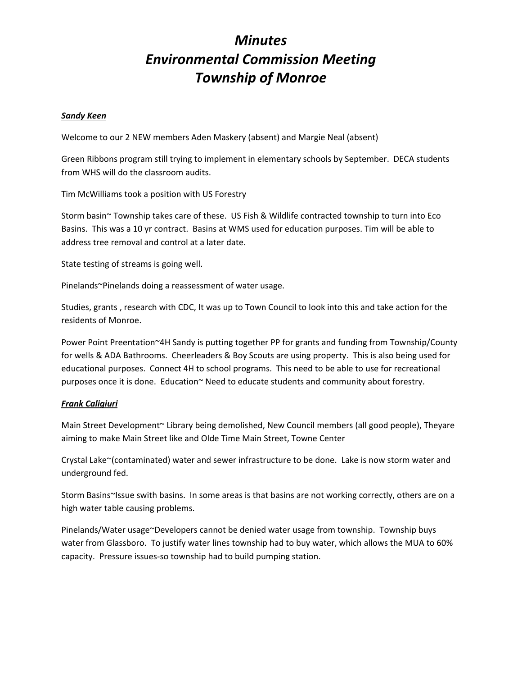#### *Sandy Keen*

Welcome to our 2 NEW members Aden Maskery (absent) and Margie Neal (absent)

Green Ribbons program still trying to implement in elementary schools by September. DECA students from WHS will do the classroom audits.

Tim McWilliams took a position with US Forestry

Storm basin~ Township takes care of these. US Fish & Wildlife contracted township to turn into Eco Basins. This was a 10 yr contract. Basins at WMS used for education purposes. Tim will be able to address tree removal and control at a later date.

State testing of streams is going well.

Pinelands~Pinelands doing a reassessment of water usage.

Studies, grants , research with CDC, It was up to Town Council to look into this and take action for the residents of Monroe.

Power Point Preentation~4H Sandy is putting together PP for grants and funding from Township/County for wells & ADA Bathrooms. Cheerleaders & Boy Scouts are using property. This is also being used for educational purposes. Connect 4H to school programs. This need to be able to use for recreational purposes once it is done. Education~ Need to educate students and community about forestry.

#### *Frank Caligiuri*

Main Street Development~ Library being demolished, New Council members (all good people), Theyare aiming to make Main Street like and Olde Time Main Street, Towne Center

Crystal Lake~(contaminated) water and sewer infrastructure to be done. Lake is now storm water and underground fed.

Storm Basins~Issue swith basins. In some areas is that basins are not working correctly, others are on a high water table causing problems.

Pinelands/Water usage~Developers cannot be denied water usage from township. Township buys water from Glassboro. To justify water lines township had to buy water, which allows the MUA to 60% capacity. Pressure issues‐so township had to build pumping station.